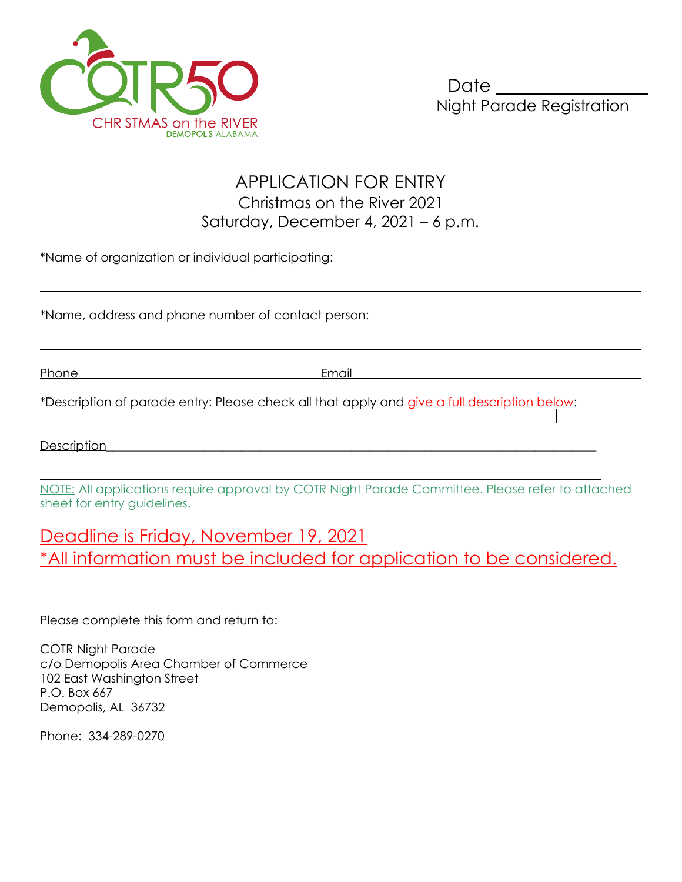

## APPLICATION FOR ENTRY Christmas on the River 2021 Saturday, December 4, 2021 – 6 p.m.

\*Name of organization or individual participating:

\*Name, address and phone number of contact person:

Phone Email

 $\overline{a}$ 

 $\overline{a}$ 

\*Description of parade entry: Please check all that apply and give a full description below:

Description

 $\overline{a}$ NOTE: All applications require approval by COTR Night Parade Committee. Please refer to attached sheet for entry guidelines.

## Deadline is Friday, November 19, 2021 \*All information must be included for application to be considered.

Please complete this form and return to:

COTR Night Parade c/o Demopolis Area Chamber of Commerce 102 East Washington Street P.O. Box 667 Demopolis, AL 36732

Phone: 334-289-0270